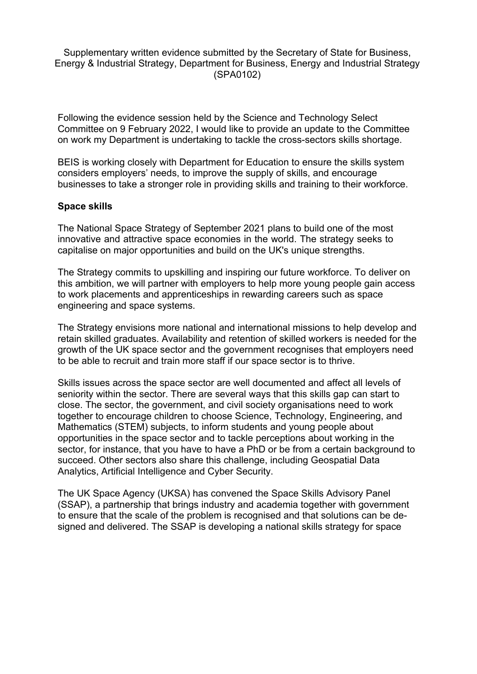Supplementary written evidence submitted by the Secretary of State for Business, Energy & Industrial Strategy, Department for Business, Energy and Industrial Strategy (SPA0102)

Following the evidence session held by the Science and Technology Select Committee on 9 February 2022, I would like to provide an update to the Committee on work my Department is undertaking to tackle the cross-sectors skills shortage.

BEIS is working closely with Department for Education to ensure the skills system considers employers' needs, to improve the supply of skills, and encourage businesses to take a stronger role in providing skills and training to their workforce.

## **Space skills**

The National Space Strategy of September 2021 plans to build one of the most innovative and attractive space economies in the world. The strategy seeks to capitalise on major opportunities and build on the UK's unique strengths.

The Strategy commits to upskilling and inspiring our future workforce. To deliver on this ambition, we will partner with employers to help more young people gain access to work placements and apprenticeships in rewarding careers such as space engineering and space systems.

The Strategy envisions more national and international missions to help develop and retain skilled graduates. Availability and retention of skilled workers is needed for the growth of the UK space sector and the government recognises that employers need to be able to recruit and train more staff if our space sector is to thrive.

Skills issues across the space sector are well documented and affect all levels of seniority within the sector. There are several ways that this skills gap can start to close. The sector, the government, and civil society organisations need to work together to encourage children to choose Science, Technology, Engineering, and Mathematics (STEM) subjects, to inform students and young people about opportunities in the space sector and to tackle perceptions about working in the sector, for instance, that you have to have a PhD or be from a certain background to succeed. Other sectors also share this challenge, including Geospatial Data Analytics, Artificial Intelligence and Cyber Security.

The UK Space Agency (UKSA) has convened the Space Skills Advisory Panel (SSAP), a partnership that brings industry and academia together with government to ensure that the scale of the problem is recognised and that solutions can be designed and delivered. The SSAP is developing a national skills strategy for space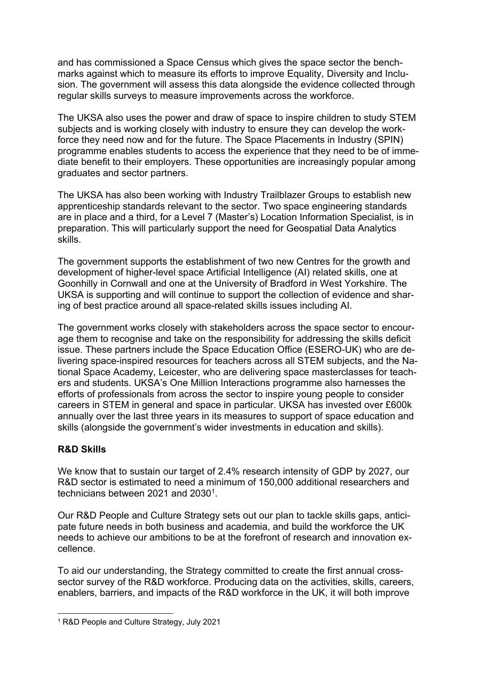and has commissioned a Space Census which gives the space sector the benchmarks against which to measure its efforts to improve Equality, Diversity and Inclusion. The government will assess this data alongside the evidence collected through regular skills surveys to measure improvements across the workforce.

The UKSA also uses the power and draw of space to inspire children to study STEM subjects and is working closely with industry to ensure they can develop the workforce they need now and for the future. The Space Placements in Industry (SPIN) programme enables students to access the experience that they need to be of immediate benefit to their employers. These opportunities are increasingly popular among graduates and sector partners.

The UKSA has also been working with Industry Trailblazer Groups to establish new apprenticeship standards relevant to the sector. Two space engineering standards are in place and a third, for a Level 7 (Master's) Location Information Specialist, is in preparation. This will particularly support the need for Geospatial Data Analytics skills.

The government supports the establishment of two new Centres for the growth and development of higher-level space Artificial Intelligence (AI) related skills, one at Goonhilly in Cornwall and one at the University of Bradford in West Yorkshire. The UKSA is supporting and will continue to support the collection of evidence and sharing of best practice around all space-related skills issues including AI.

The government works closely with stakeholders across the space sector to encourage them to recognise and take on the responsibility for addressing the skills deficit issue. These partners include the Space Education Office (ESERO-UK) who are delivering space-inspired resources for teachers across all STEM subjects, and the National Space Academy, Leicester, who are delivering space masterclasses for teachers and students. UKSA's One Million Interactions programme also harnesses the efforts of professionals from across the sector to inspire young people to consider careers in STEM in general and space in particular. UKSA has invested over £600k annually over the last three years in its measures to support of space education and skills (alongside the government's wider investments in education and skills).

## **R&D Skills**

We know that to sustain our target of 2.4% research intensity of GDP by 2027, our R&D sector is estimated to need a minimum of 150,000 additional researchers and technicians between 2021 and 2030<sup>1</sup>.

Our R&D People and Culture Strategy sets out our plan to tackle skills gaps, anticipate future needs in both business and academia, and build the workforce the UK needs to achieve our ambitions to be at the forefront of research and innovation excellence.

To aid our understanding, the Strategy committed to create the first annual crosssector survey of the R&D workforce. Producing data on the activities, skills, careers, enablers, barriers, and impacts of the R&D workforce in the UK, it will both improve

<sup>1</sup> R&D People and Culture Strategy, July 2021